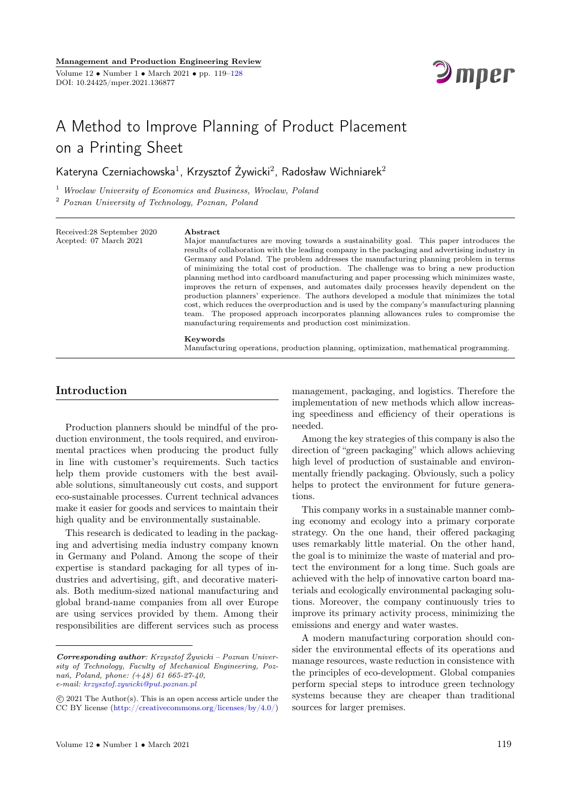

# A Method to Improve Planning of Product Placement on a Printing Sheet

Kateryna Czerniachowska $^1$ , Krzysztof Żywicki $^2$ , Radosław Wichniarek $^2$ 

<sup>1</sup> Wroclaw University of Economics and Business, Wroclaw, Poland

<sup>2</sup> Poznan University of Technology, Poznan, Poland

Received:28 September 2020 Acepted: 07 March 2021

#### Abstract

Keywords

Major manufactures are moving towards a sustainability goal. This paper introduces the results of collaboration with the leading company in the packaging and advertising industry in Germany and Poland. The problem addresses the manufacturing planning problem in terms of minimizing the total cost of production. The challenge was to bring a new production planning method into cardboard manufacturing and paper processing which minimizes waste, improves the return of expenses, and automates daily processes heavily dependent on the production planners' experience. The authors developed a module that minimizes the total cost, which reduces the overproduction and is used by the company's manufacturing planning team. The proposed approach incorporates planning allowances rules to compromise the manufacturing requirements and production cost minimization.

# Manufacturing operations, production planning, optimization, mathematical programming.

### Introduction

Production planners should be mindful of the production environment, the tools required, and environmental practices when producing the product fully in line with customer's requirements. Such tactics help them provide customers with the best available solutions, simultaneously cut costs, and support eco-sustainable processes. Current technical advances make it easier for goods and services to maintain their high quality and be environmentally sustainable.

This research is dedicated to leading in the packaging and advertising media industry company known in Germany and Poland. Among the scope of their expertise is standard packaging for all types of industries and advertising, gift, and decorative materials. Both medium-sized national manufacturing and global brand-name companies from all over Europe are using services provided by them. Among their responsibilities are different services such as process

management, packaging, and logistics. Therefore the implementation of new methods which allow increasing speediness and efficiency of their operations is needed.

Among the key strategies of this company is also the direction of "green packaging" which allows achieving high level of production of sustainable and environmentally friendly packaging. Obviously, such a policy helps to protect the environment for future generations.

This company works in a sustainable manner combing economy and ecology into a primary corporate strategy. On the one hand, their offered packaging uses remarkably little material. On the other hand, the goal is to minimize the waste of material and protect the environment for a long time. Such goals are achieved with the help of innovative carton board materials and ecologically environmental packaging solutions. Moreover, the company continuously tries to improve its primary activity process, minimizing the emissions and energy and water wastes.

A modern manufacturing corporation should consider the environmental effects of its operations and manage resources, waste reduction in consistence with the principles of eco-development. Global companies perform special steps to introduce green technology systems because they are cheaper than traditional sources for larger premises.

Corresponding author: Krzysztof Żywicki – Poznan University of Technology, Faculty of Mechanical Engineering, Poznań, Poland, phone: (+48) 61 665-27-40, e-mail: [krzysztof.zywicki@put.poznan.pl](mailto:krzysztof.zywicki@put.poznan.pl)

c 2021 The Author(s). This is an open access article under the CC BY license [\(http://creativecommons.org/licenses/by/4.0/\)](http://creativecommons.org/licenses/by/4.0/)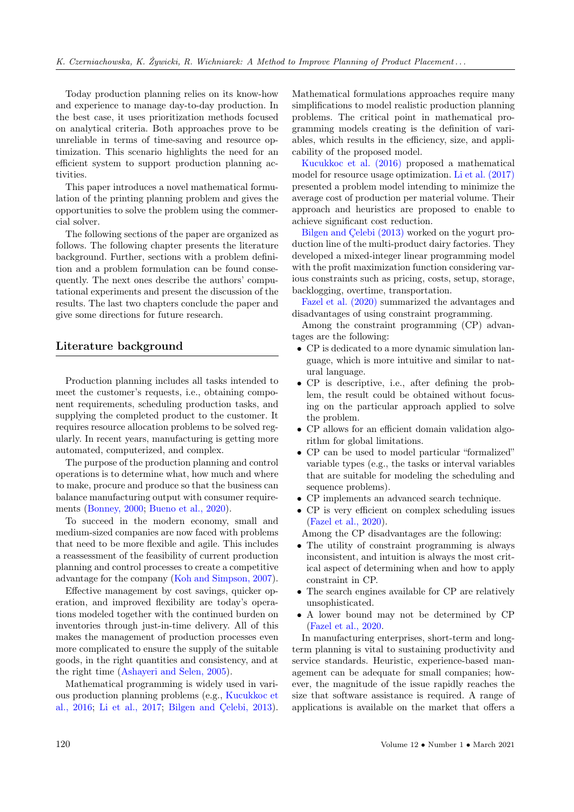Today production planning relies on its know-how and experience to manage day-to-day production. In the best case, it uses prioritization methods focused on analytical criteria. Both approaches prove to be unreliable in terms of time-saving and resource optimization. This scenario highlights the need for an efficient system to support production planning activities.

This paper introduces a novel mathematical formulation of the printing planning problem and gives the opportunities to solve the problem using the commercial solver.

The following sections of the paper are organized as follows. The following chapter presents the literature background. Further, sections with a problem definition and a problem formulation can be found consequently. The next ones describe the authors' computational experiments and present the discussion of the results. The last two chapters conclude the paper and give some directions for future research.

#### Literature background

Production planning includes all tasks intended to meet the customer's requests, i.e., obtaining component requirements, scheduling production tasks, and supplying the completed product to the customer. It requires resource allocation problems to be solved regularly. In recent years, manufacturing is getting more automated, computerized, and complex.

The purpose of the production planning and control operations is to determine what, how much and where to make, procure and produce so that the business can balance manufacturing output with consumer requirements [\(Bonney, 2000;](#page-8-0) [Bueno et al., 2020\)](#page-8-0).

To succeed in the modern economy, small and medium-sized companies are now faced with problems that need to be more flexible and agile. This includes a reassessment of the feasibility of current production planning and control processes to create a competitive advantage for the company [\(Koh and Simpson, 2007\)](#page-8-0).

Effective management by cost savings, quicker operation, and improved flexibility are today's operations modeled together with the continued burden on inventories through just-in-time delivery. All of this makes the management of production processes even more complicated to ensure the supply of the suitable goods, in the right quantities and consistency, and at the right time [\(Ashayeri and Selen, 2005\)](#page-8-0).

Mathematical programming is widely used in various production planning problems (e.g., [Kucukkoc et](#page-8-0) [al., 2016;](#page-8-0) [Li et al., 2017;](#page-8-0) [Bilgen and Çelebi, 2013\)](#page-8-0). Mathematical formulations approaches require many simplifications to model realistic production planning problems. The critical point in mathematical programming models creating is the definition of variables, which results in the efficiency, size, and applicability of the proposed model.

[Kucukkoc et al. \(2016\)](#page-8-0) proposed a mathematical model for resource usage optimization. [Li et al. \(2017\)](#page-8-0) presented a problem model intending to minimize the average cost of production per material volume. Their approach and heuristics are proposed to enable to achieve significant cost reduction.

[Bilgen and Çelebi \(2013\)](#page-8-0) worked on the yogurt production line of the multi-product dairy factories. They developed a mixed-integer linear programming model with the profit maximization function considering various constraints such as pricing, costs, setup, storage, backlogging, overtime, transportation.

[Fazel et al. \(2020\)](#page-8-0) summarized the advantages and disadvantages of using constraint programming.

Among the constraint programming (CP) advantages are the following:

- CP is dedicated to a more dynamic simulation language, which is more intuitive and similar to natural language.
- CP is descriptive, i.e., after defining the problem, the result could be obtained without focusing on the particular approach applied to solve the problem.
- CP allows for an efficient domain validation algorithm for global limitations.
- CP can be used to model particular "formalized" variable types (e.g., the tasks or interval variables that are suitable for modeling the scheduling and sequence problems).
- CP implements an advanced search technique.
- CP is very efficient on complex scheduling issues [\(Fazel et al., 2020\)](#page-8-0).

Among the CP disadvantages are the following:

- The utility of constraint programming is always inconsistent, and intuition is always the most critical aspect of determining when and how to apply constraint in CP.
- The search engines available for CP are relatively unsophisticated.
- A lower bound may not be determined by CP [\(Fazel et al., 2020.](#page-8-0)

In manufacturing enterprises, short-term and longterm planning is vital to sustaining productivity and service standards. Heuristic, experience-based management can be adequate for small companies; however, the magnitude of the issue rapidly reaches the size that software assistance is required. A range of applications is available on the market that offers a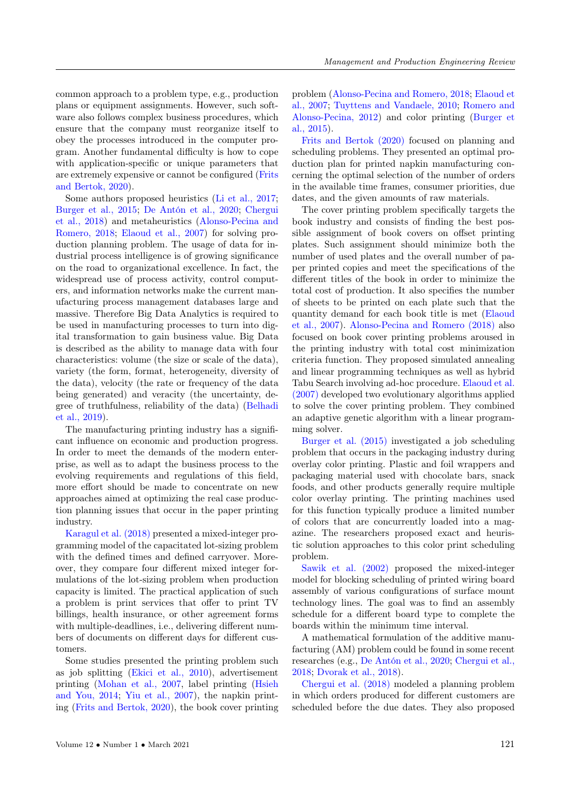common approach to a problem type, e.g., production plans or equipment assignments. However, such software also follows complex business procedures, which ensure that the company must reorganize itself to obey the processes introduced in the computer program. Another fundamental difficulty is how to cope with application-specific or unique parameters that are extremely expensive or cannot be configured [\(Frits](#page-8-0) [and Bertok, 2020\)](#page-8-0).

Some authors proposed heuristics [\(Li et al., 2017;](#page-8-0) [Burger et al., 2015;](#page-8-0) [De Antón et al., 2020;](#page-8-0) [Chergui](#page-8-0) [et al., 2018\)](#page-8-0) and metaheuristics [\(Alonso-Pecina and](#page-8-0) [Romero, 2018;](#page-8-0) [Elaoud et al., 2007\)](#page-8-0) for solving production planning problem. The usage of data for industrial process intelligence is of growing significance on the road to organizational excellence. In fact, the widespread use of process activity, control computers, and information networks make the current manufacturing process management databases large and massive. Therefore Big Data Analytics is required to be used in manufacturing processes to turn into digital transformation to gain business value. Big Data is described as the ability to manage data with four characteristics: volume (the size or scale of the data), variety (the form, format, heterogeneity, diversity of the data), velocity (the rate or frequency of the data being generated) and veracity (the uncertainty, degree of truthfulness, reliability of the data) [\(Belhadi](#page-8-0) [et al., 2019\)](#page-8-0).

The manufacturing printing industry has a significant influence on economic and production progress. In order to meet the demands of the modern enterprise, as well as to adapt the business process to the evolving requirements and regulations of this field, more effort should be made to concentrate on new approaches aimed at optimizing the real case production planning issues that occur in the paper printing industry.

[Karagul et al. \(2018\)](#page-8-0) presented a mixed-integer programming model of the capacitated lot-sizing problem with the defined times and defined carryover. Moreover, they compare four different mixed integer formulations of the lot-sizing problem when production capacity is limited. The practical application of such a problem is print services that offer to print TV billings, health insurance, or other agreement forms with multiple-deadlines, i.e., delivering different numbers of documents on different days for different customers.

Some studies presented the printing problem such as job splitting [\(Ekici et al., 2010\)](#page-8-0), advertisement printing [\(Mohan et al., 2007,](#page-8-0) label printing [\(Hsieh](#page-8-0) [and You, 2014;](#page-8-0) [Yiu et al., 2007\)](#page-8-0), the napkin printing [\(Frits and Bertok, 2020\)](#page-8-0), the book cover printing problem [\(Alonso-Pecina and Romero, 2018;](#page-8-0) [Elaoud et](#page-8-0) [al., 2007;](#page-8-0) [Tuyttens and Vandaele, 2010;](#page-8-0) [Romero and](#page-8-0) [Alonso-Pecina, 2012\)](#page-8-0) and color printing [\(Burger et](#page-8-0) [al., 2015\)](#page-8-0).

[Frits and Bertok \(2020\)](#page-8-0) focused on planning and scheduling problems. They presented an optimal production plan for printed napkin manufacturing concerning the optimal selection of the number of orders in the available time frames, consumer priorities, due dates, and the given amounts of raw materials.

The cover printing problem specifically targets the book industry and consists of finding the best possible assignment of book covers on offset printing plates. Such assignment should minimize both the number of used plates and the overall number of paper printed copies and meet the specifications of the different titles of the book in order to minimize the total cost of production. It also specifies the number of sheets to be printed on each plate such that the quantity demand for each book title is met [\(Elaoud](#page-8-0) [et al., 2007\)](#page-8-0). [Alonso-Pecina and Romero \(2018\)](#page-8-0) also focused on book cover printing problems aroused in the printing industry with total cost minimization criteria function. They proposed simulated annealing and linear programming techniques as well as hybrid Tabu Search involving ad-hoc procedure. [Elaoud et al.](#page-8-0) [\(2007\)](#page-8-0) developed two evolutionary algorithms applied to solve the cover printing problem. They combined an adaptive genetic algorithm with a linear programming solver.

[Burger et al. \(2015\)](#page-8-0) investigated a job scheduling problem that occurs in the packaging industry during overlay color printing. Plastic and foil wrappers and packaging material used with chocolate bars, snack foods, and other products generally require multiple color overlay printing. The printing machines used for this function typically produce a limited number of colors that are concurrently loaded into a magazine. The researchers proposed exact and heuristic solution approaches to this color print scheduling problem.

[Sawik et al. \(2002\)](#page-8-0) proposed the mixed-integer model for blocking scheduling of printed wiring board assembly of various configurations of surface mount technology lines. The goal was to find an assembly schedule for a different board type to complete the boards within the minimum time interval.

A mathematical formulation of the additive manufacturing (AM) problem could be found in some recent researches (e.g., [De Antón et al., 2020;](#page-8-0) [Chergui et al.,](#page-8-0) [2018;](#page-8-0) [Dvorak et al., 2018\)](#page-8-0).

[Chergui et al. \(2018\)](#page-8-0) modeled a planning problem in which orders produced for different customers are scheduled before the due dates. They also proposed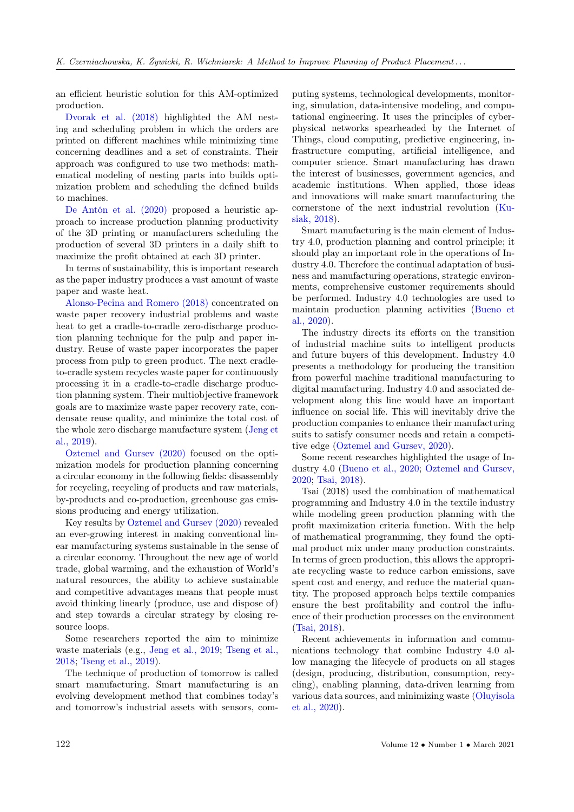an efficient heuristic solution for this AM-optimized production.

[Dvorak et al. \(2018\)](#page-8-0) highlighted the AM nesting and scheduling problem in which the orders are printed on different machines while minimizing time concerning deadlines and a set of constraints. Their approach was configured to use two methods: mathematical modeling of nesting parts into builds optimization problem and scheduling the defined builds to machines.

[De Antón et al. \(2020\)](#page-8-0) proposed a heuristic approach to increase production planning productivity of the 3D printing or manufacturers scheduling the production of several 3D printers in a daily shift to maximize the profit obtained at each 3D printer.

In terms of sustainability, this is important research as the paper industry produces a vast amount of waste paper and waste heat.

[Alonso-Pecina and Romero \(2018\)](#page-8-0) concentrated on waste paper recovery industrial problems and waste heat to get a cradle-to-cradle zero-discharge production planning technique for the pulp and paper industry. Reuse of waste paper incorporates the paper process from pulp to green product. The next cradleto-cradle system recycles waste paper for continuously processing it in a cradle-to-cradle discharge production planning system. Their multiobjective framework goals are to maximize waste paper recovery rate, condensate reuse quality, and minimize the total cost of the whole zero discharge manufacture system [\(Jeng et](#page-8-0) [al., 2019\)](#page-8-0).

[Oztemel and Gursev \(2020\)](#page-8-0) focused on the optimization models for production planning concerning a circular economy in the following fields: disassembly for recycling, recycling of products and raw materials, by-products and co-production, greenhouse gas emissions producing and energy utilization.

Key results by [Oztemel and Gursev \(2020\)](#page-8-0) revealed an ever-growing interest in making conventional linear manufacturing systems sustainable in the sense of a circular economy. Throughout the new age of world trade, global warming, and the exhaustion of World's natural resources, the ability to achieve sustainable and competitive advantages means that people must avoid thinking linearly (produce, use and dispose of) and step towards a circular strategy by closing resource loops.

Some researchers reported the aim to minimize waste materials (e.g., [Jeng et al., 2019;](#page-8-0) [Tseng et al.,](#page-8-0) [2018;](#page-8-0) [Tseng et al., 2019\)](#page-8-0).

The technique of production of tomorrow is called smart manufacturing. Smart manufacturing is an evolving development method that combines today's and tomorrow's industrial assets with sensors, com-

puting systems, technological developments, monitoring, simulation, data-intensive modeling, and computational engineering. It uses the principles of cyberphysical networks spearheaded by the Internet of Things, cloud computing, predictive engineering, infrastructure computing, artificial intelligence, and computer science. Smart manufacturing has drawn the interest of businesses, government agencies, and academic institutions. When applied, those ideas and innovations will make smart manufacturing the cornerstone of the next industrial revolution [\(Ku](#page-8-0)[siak, 2018\)](#page-8-0).

Smart manufacturing is the main element of Industry 4.0, production planning and control principle; it should play an important role in the operations of Industry 4.0. Therefore the continual adaptation of business and manufacturing operations, strategic environments, comprehensive customer requirements should be performed. Industry 4.0 technologies are used to maintain production planning activities [\(Bueno et](#page-8-0) [al., 2020\)](#page-8-0).

The industry directs its efforts on the transition of industrial machine suits to intelligent products and future buyers of this development. Industry 4.0 presents a methodology for producing the transition from powerful machine traditional manufacturing to digital manufacturing. Industry 4.0 and associated development along this line would have an important influence on social life. This will inevitably drive the production companies to enhance their manufacturing suits to satisfy consumer needs and retain a competitive edge [\(Oztemel and Gursev, 2020\)](#page-8-0).

Some recent researches highlighted the usage of Industry 4.0 [\(Bueno et al., 2020;](#page-8-0) [Oztemel and Gursev,](#page-8-0) [2020;](#page-8-0) [Tsai, 2018\)](#page-8-0).

Tsai (2018) used the combination of mathematical programming and Industry 4.0 in the textile industry while modeling green production planning with the profit maximization criteria function. With the help of mathematical programming, they found the optimal product mix under many production constraints. In terms of green production, this allows the appropriate recycling waste to reduce carbon emissions, save spent cost and energy, and reduce the material quantity. The proposed approach helps textile companies ensure the best profitability and control the influence of their production processes on the environment [\(Tsai, 2018\)](#page-8-0).

Recent achievements in information and communications technology that combine Industry 4.0 allow managing the lifecycle of products on all stages (design, producing, distribution, consumption, recycling), enabling planning, data-driven learning from various data sources, and minimizing waste [\(Oluyisola](#page-8-0) [et al., 2020\)](#page-8-0).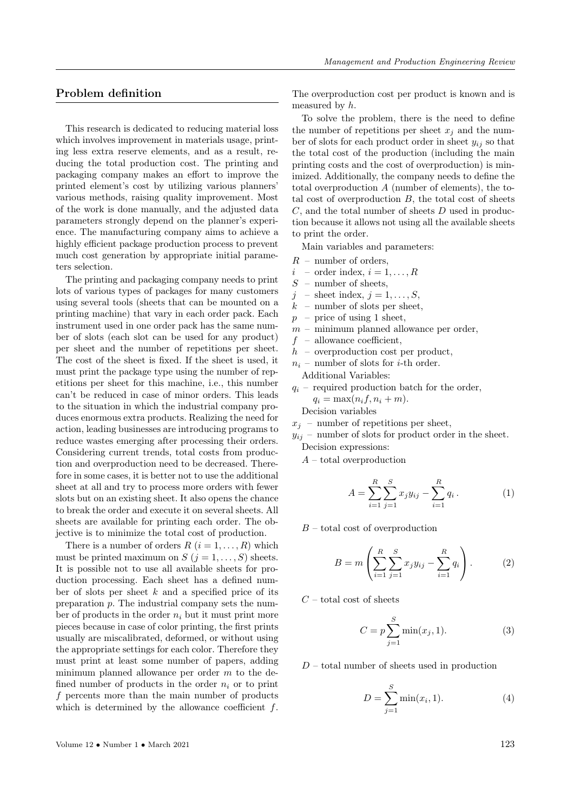# Problem definition

This research is dedicated to reducing material loss which involves improvement in materials usage, printing less extra reserve elements, and as a result, reducing the total production cost. The printing and packaging company makes an effort to improve the printed element's cost by utilizing various planners' various methods, raising quality improvement. Most of the work is done manually, and the adjusted data parameters strongly depend on the planner's experience. The manufacturing company aims to achieve a highly efficient package production process to prevent much cost generation by appropriate initial parameters selection.

The printing and packaging company needs to print lots of various types of packages for many customers using several tools (sheets that can be mounted on a printing machine) that vary in each order pack. Each instrument used in one order pack has the same number of slots (each slot can be used for any product) per sheet and the number of repetitions per sheet. The cost of the sheet is fixed. If the sheet is used, it must print the package type using the number of repetitions per sheet for this machine, i.e., this number can't be reduced in case of minor orders. This leads to the situation in which the industrial company produces enormous extra products. Realizing the need for action, leading businesses are introducing programs to reduce wastes emerging after processing their orders. Considering current trends, total costs from production and overproduction need to be decreased. Therefore in some cases, it is better not to use the additional sheet at all and try to process more orders with fewer slots but on an existing sheet. It also opens the chance to break the order and execute it on several sheets. All sheets are available for printing each order. The objective is to minimize the total cost of production.

There is a number of orders  $R$   $(i = 1, \ldots, R)$  which must be printed maximum on  $S$   $(j = 1, \ldots, S)$  sheets. It is possible not to use all available sheets for production processing. Each sheet has a defined number of slots per sheet  $k$  and a specified price of its preparation p. The industrial company sets the number of products in the order  $n_i$  but it must print more pieces because in case of color printing, the first prints usually are miscalibrated, deformed, or without using the appropriate settings for each color. Therefore they must print at least some number of papers, adding minimum planned allowance per order  $m$  to the defined number of products in the order  $n_i$  or to print f percents more than the main number of products which is determined by the allowance coefficient  $f$ .

To solve the problem, there is the need to define the number of repetitions per sheet  $x_j$  and the number of slots for each product order in sheet  $y_{ij}$  so that the total cost of the production (including the main printing costs and the cost of overproduction) is minimized. Additionally, the company needs to define the total overproduction A (number of elements), the total cost of overproduction  $B$ , the total cost of sheets  $C$ , and the total number of sheets  $D$  used in production because it allows not using all the available sheets to print the order.

Main variables and parameters:

- $R$  number of orders,
- $i$  order index,  $i = 1, \ldots, R$
- $S$  number of sheets,
- $j$  sheet index,  $j = 1, \ldots, S$ ,
- $k$  number of slots per sheet,
- $p$  price of using 1 sheet,
- $m$  minimum planned allowance per order,
- $f$  allowance coefficient,
- $h$  overproduction cost per product,
- $n_i$  number of slots for *i*-th order.
	- Additional Variables:
- $q_i$  required production batch for the order,  $q_i = \max(n_i f, n_i + m).$ Decision variables

- $x_i$  number of repetitions per sheet,
- $y_{ij}$  number of slots for product order in the sheet. Decision expressions:
	- $A$  total overproduction

$$
A = \sum_{i=1}^{R} \sum_{j=1}^{S} x_j y_{ij} - \sum_{i=1}^{R} q_i.
$$
 (1)

 $B$  – total cost of overproduction

$$
B = m \left( \sum_{i=1}^{R} \sum_{j=1}^{S} x_j y_{ij} - \sum_{i=1}^{R} q_i \right). \tag{2}
$$

 $C$  – total cost of sheets

$$
C = p \sum_{j=1}^{S} \min(x_j, 1).
$$
 (3)

 $D$  – total number of sheets used in production

$$
D = \sum_{j=1}^{S} \min(x_i, 1).
$$
 (4)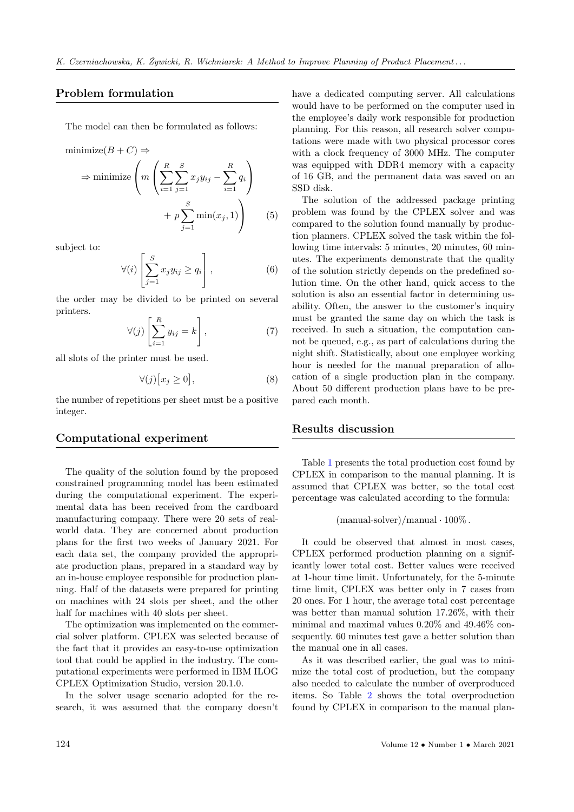## Problem formulation

The model can then be formulated as follows:

minimize
$$
(B + C)
$$
  $\Rightarrow$   
\n $\Rightarrow$  minimize $\left(m\left(\sum_{i=1}^{R}\sum_{j=1}^{S}x_jy_{ij} - \sum_{i=1}^{R}q_i\right) + p\sum_{j=1}^{S}\min(x_j, 1)\right)$  (5)

subject to:

$$
\forall (i) \left[ \sum_{j=1}^{S} x_j y_{ij} \ge q_i \right], \tag{6}
$$

the order may be divided to be printed on several printers.

$$
\forall (j) \left[ \sum_{i=1}^{R} y_{ij} = k \right], \tag{7}
$$

all slots of the printer must be used.

$$
\forall (j)[x_j \ge 0],\tag{8}
$$

the number of repetitions per sheet must be a positive integer.

#### Computational experiment

The quality of the solution found by the proposed constrained programming model has been estimated during the computational experiment. The experimental data has been received from the cardboard manufacturing company. There were 20 sets of realworld data. They are concerned about production plans for the first two weeks of January 2021. For each data set, the company provided the appropriate production plans, prepared in a standard way by an in-house employee responsible for production planning. Half of the datasets were prepared for printing on machines with 24 slots per sheet, and the other half for machines with 40 slots per sheet.

The optimization was implemented on the commercial solver platform. CPLEX was selected because of the fact that it provides an easy-to-use optimization tool that could be applied in the industry. The computational experiments were performed in IBM ILOG CPLEX Optimization Studio, version 20.1.0.

In the solver usage scenario adopted for the research, it was assumed that the company doesn't have a dedicated computing server. All calculations would have to be performed on the computer used in the employee's daily work responsible for production planning. For this reason, all research solver computations were made with two physical processor cores with a clock frequency of 3000 MHz. The computer was equipped with DDR4 memory with a capacity of 16 GB, and the permanent data was saved on an SSD disk.

The solution of the addressed package printing problem was found by the CPLEX solver and was compared to the solution found manually by production planners. CPLEX solved the task within the following time intervals: 5 minutes, 20 minutes, 60 minutes. The experiments demonstrate that the quality of the solution strictly depends on the predefined solution time. On the other hand, quick access to the solution is also an essential factor in determining usability. Often, the answer to the customer's inquiry must be granted the same day on which the task is received. In such a situation, the computation cannot be queued, e.g., as part of calculations during the night shift. Statistically, about one employee working hour is needed for the manual preparation of allocation of a single production plan in the company. About 50 different production plans have to be prepared each month.

#### Results discussion

Table [1](#page-6-0) presents the total production cost found by CPLEX in comparison to the manual planning. It is assumed that CPLEX was better, so the total cost percentage was calculated according to the formula:

$$
(\text{manual-solver})/\text{manual} \cdot 100\%
$$
.

It could be observed that almost in most cases, CPLEX performed production planning on a significantly lower total cost. Better values were received at 1-hour time limit. Unfortunately, for the 5-minute time limit, CPLEX was better only in 7 cases from 20 ones. For 1 hour, the average total cost percentage was better than manual solution 17.26%, with their minimal and maximal values 0.20% and 49.46% consequently. 60 minutes test gave a better solution than the manual one in all cases.

As it was described earlier, the goal was to minimize the total cost of production, but the company also needed to calculate the number of overproduced items. So Table [2](#page-6-1) shows the total overproduction found by CPLEX in comparison to the manual plan-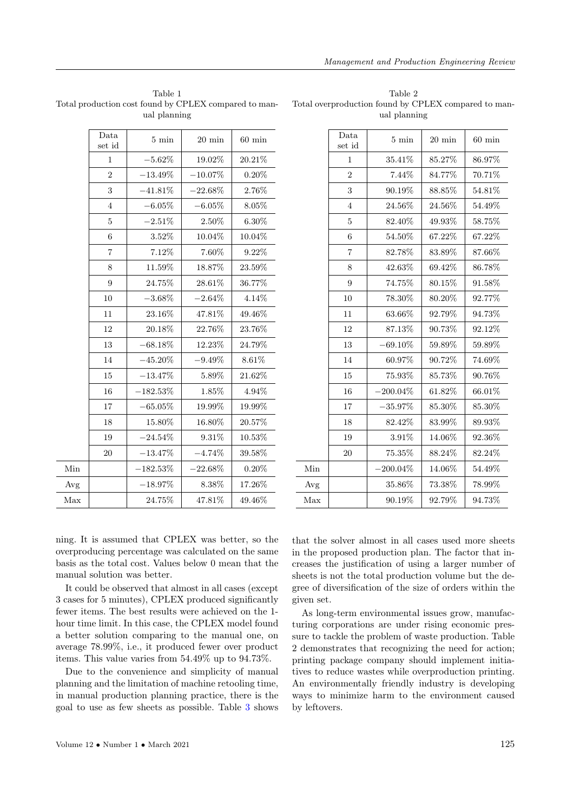<span id="page-6-0"></span>Table 1 Total production cost found by CPLEX compared to manual planning

|     | Data<br>set id | $5 \text{ min}$<br>$20 \text{ min}$ |            | $60 \text{ min}$ |
|-----|----------------|-------------------------------------|------------|------------------|
|     | $\mathbf{1}$   | $-5.62\%$                           | 19.02%     | 20.21%           |
|     | $\overline{2}$ | $-13.49\%$                          | $-10.07\%$ | $0.20\%$         |
|     | 3              | $-41.81\%$                          | $-22.68\%$ | $2.76\%$         |
|     | 4              | $-6.05\%$                           | $-6.05%$   | 8.05%            |
|     | 5              | $-2.51\%$                           | 2.50%      | $6.30\%$         |
|     | 6              | $3.52\%$                            | 10.04%     | 10.04%           |
|     | $\overline{7}$ | 7.12%                               | 7.60%      | $9.22\%$         |
|     | 8              | 11.59%                              | 18.87%     | 23.59%           |
|     | 9              | 24.75%                              | 28.61%     | 36.77%           |
|     | 10             | $-3.68\%$                           | $-2.64\%$  | 4.14%            |
|     | 11             | 23.16%                              | 47.81\%    | 49.46%           |
|     | 12             | $20.18\%$                           | 22.76%     | 23.76%           |
|     | 13             | $-68.18\%$                          | 12.23%     | 24.79%           |
|     | 14             | $-45.20\%$                          | $-9.49\%$  | $8.61\%$         |
|     | 15             | $-13.47\%$                          | $5.89\%$   | 21.62%           |
|     | 16             | $-182.53\%$                         | 1.85%      | 4.94%            |
|     | 17             | $-65.05\%$                          | 19.99%     | 19.99%           |
|     | 18             | 15.80%                              | 16.80%     | 20.57%           |
|     | 19             | $-24.54\%$                          | 9.31\%     | 10.53%           |
|     | 20             | $-13.47\%$                          | $-4.74%$   | 39.58%           |
| Min |                | $-182.53\%$                         | $-22.68\%$ | 0.20%            |
| Avg |                | $-18.97\%$                          | 8.38%      | 17.26%           |
| Max |                | $24.75\%$                           | 47.81\%    | 49.46%           |

<span id="page-6-1"></span>Table 2 Total overproduction found by CPLEX compared to manual planning

|     | Data<br>set id | $5 \text{ min}$ | $20 \text{ min}$ | $60 \text{ min}$ |
|-----|----------------|-----------------|------------------|------------------|
|     | 1              | $35.41\%$       | 85.27%           | 86.97%           |
|     | $\overline{2}$ | 7.44%           | 84.77%           | 70.71%           |
|     | 3              | 90.19%          | 88.85%           | 54.81\%          |
|     | $\overline{4}$ | 24.56%          | $24.56\%$        | 54.49%           |
|     | 5              | 82.40%          | 49.93%           | 58.75%           |
|     | 6              | 54.50%          | 67.22%           | 67.22%           |
|     | $\overline{7}$ | 82.78%          | 83.89%           | 87.66%           |
|     | 8              | 42.63%          | 69.42%           | 86.78%           |
|     | 9              | $74.75\%$       | 80.15%           | 91.58%           |
|     | 10             | 78.30%          | 80.20%           | 92.77%           |
|     | 11             | 63.66%          | 92.79%           | 94.73%           |
|     | 12             | $87.13\%$       | 90.73%           | 92.12%           |
|     | 13             | $-69.10\%$      | 59.89%           | 59.89%           |
|     | 14             | 60.97%          | 90.72%           | 74.69%           |
|     | 15             | 75.93%          | 85.73%           | 90.76%           |
|     | 16             | $-200.04\%$     | 61.82%           | 66.01%           |
|     | 17             | $-35.97\%$      | 85.30%           | 85.30%           |
|     | 18             | 82.42\%         | 83.99%           | 89.93%           |
|     | 19             | 3.91%           | 14.06%           | 92.36%           |
|     | 20             | 75.35%          | 88.24%           | 82.24\%          |
| Min |                | $-200.04\%$     | 14.06%           | 54.49%           |
| Avg |                | 35.86%          | 73.38%           | 78.99%           |
| Max |                | 90.19%          | 92.79%           | 94.73%           |

ning. It is assumed that CPLEX was better, so the overproducing percentage was calculated on the same basis as the total cost. Values below 0 mean that the manual solution was better.

It could be observed that almost in all cases (except 3 cases for 5 minutes), CPLEX produced significantly fewer items. The best results were achieved on the 1 hour time limit. In this case, the CPLEX model found a better solution comparing to the manual one, on average 78.99%, i.e., it produced fewer over product items. This value varies from 54.49% up to 94.73%.

Due to the convenience and simplicity of manual planning and the limitation of machine retooling time, in manual production planning practice, there is the goal to use as few sheets as possible. Table [3](#page-7-0) shows

that the solver almost in all cases used more sheets in the proposed production plan. The factor that increases the justification of using a larger number of sheets is not the total production volume but the degree of diversification of the size of orders within the given set.

As long-term environmental issues grow, manufacturing corporations are under rising economic pressure to tackle the problem of waste production. Table 2 demonstrates that recognizing the need for action; printing package company should implement initiatives to reduce wastes while overproduction printing. An environmentally friendly industry is developing ways to minimize harm to the environment caused by leftovers.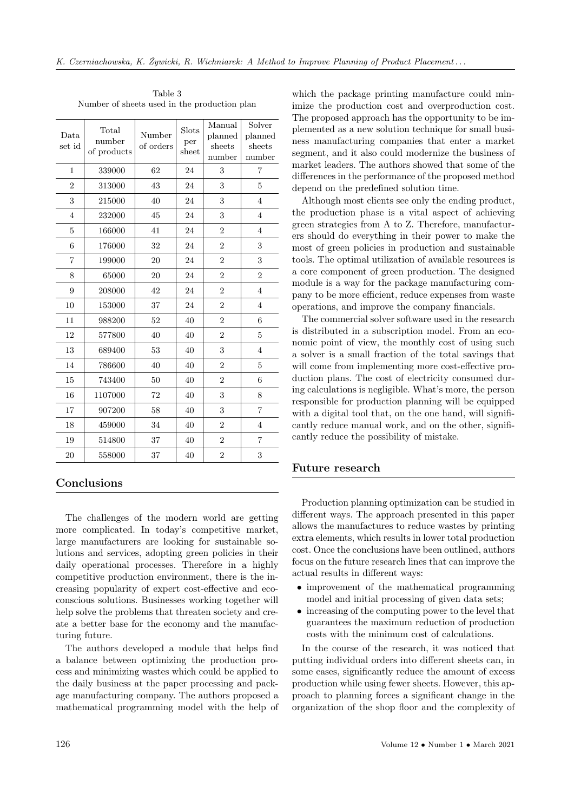| Data<br>set id | Total<br>number<br>of products | Number<br>of orders | Slots<br>per<br>sheet | Manual<br>planned<br>sheets<br>number | Solver<br>planned<br>sheets<br>number |
|----------------|--------------------------------|---------------------|-----------------------|---------------------------------------|---------------------------------------|
| 1              | 339000                         | 62                  | 24                    | 3                                     | 7                                     |
| $\overline{2}$ | 313000                         | 43                  | 24                    | 3                                     | 5                                     |
| 3              | 215000                         | 40                  | 24                    | 3                                     | $\overline{4}$                        |
| $\overline{4}$ | 232000                         | 45                  | 24                    | 3                                     | 4                                     |
| 5              | 166000                         | 41                  | 24                    | $\overline{2}$                        | $\overline{4}$                        |
| 6              | 176000                         | 32                  | 24                    | $\overline{2}$                        | 3                                     |
| 7              | 199000                         | 20                  | 24                    | $\overline{2}$                        | 3                                     |
| 8              | 65000                          | 20                  | 24                    | $\overline{2}$                        | $\overline{2}$                        |
| 9              | 208000                         | 42                  | 24                    | $\overline{2}$                        | 4                                     |
| 10             | 153000                         | 37                  | 24                    | $\overline{2}$                        | $\overline{4}$                        |
| 11             | 988200                         | 52                  | 40                    | $\overline{2}$                        | 6                                     |
| 12             | 577800                         | 40                  | 40                    | $\overline{2}$                        | 5                                     |
| 13             | 689400                         | 53                  | 40                    | 3                                     | $\overline{4}$                        |
| 14             | 786600                         | 40                  | 40                    | $\overline{2}$                        | 5                                     |
| 15             | 743400                         | 50                  | 40                    | $\overline{2}$                        | 6                                     |
| 16             | 1107000                        | 72                  | 40                    | 3                                     | 8                                     |
| 17             | 907200                         | 58                  | 40                    | 3                                     | $\overline{7}$                        |
| 18             | 459000                         | 34                  | 40                    | $\overline{2}$                        | $\overline{4}$                        |
| 19             | 514800                         | 37                  | 40                    | $\overline{2}$                        | $\overline{7}$                        |
| 20             | 558000                         | 37                  | 40                    | $\overline{2}$                        | 3                                     |

<span id="page-7-0"></span>Table 3 Number of sheets used in the production plan

# Conclusions

The challenges of the modern world are getting more complicated. In today's competitive market, large manufacturers are looking for sustainable solutions and services, adopting green policies in their daily operational processes. Therefore in a highly competitive production environment, there is the increasing popularity of expert cost-effective and ecoconscious solutions. Businesses working together will help solve the problems that threaten society and create a better base for the economy and the manufacturing future.

The authors developed a module that helps find a balance between optimizing the production process and minimizing wastes which could be applied to the daily business at the paper processing and package manufacturing company. The authors proposed a mathematical programming model with the help of

which the package printing manufacture could minimize the production cost and overproduction cost. The proposed approach has the opportunity to be implemented as a new solution technique for small business manufacturing companies that enter a market segment, and it also could modernize the business of market leaders. The authors showed that some of the differences in the performance of the proposed method depend on the predefined solution time.

Although most clients see only the ending product, the production phase is a vital aspect of achieving green strategies from A to Z. Therefore, manufacturers should do everything in their power to make the most of green policies in production and sustainable tools. The optimal utilization of available resources is a core component of green production. The designed module is a way for the package manufacturing company to be more efficient, reduce expenses from waste operations, and improve the company financials.

The commercial solver software used in the research is distributed in a subscription model. From an economic point of view, the monthly cost of using such a solver is a small fraction of the total savings that will come from implementing more cost-effective production plans. The cost of electricity consumed during calculations is negligible. What's more, the person responsible for production planning will be equipped with a digital tool that, on the one hand, will significantly reduce manual work, and on the other, significantly reduce the possibility of mistake.

#### Future research

Production planning optimization can be studied in different ways. The approach presented in this paper allows the manufactures to reduce wastes by printing extra elements, which results in lower total production cost. Once the conclusions have been outlined, authors focus on the future research lines that can improve the actual results in different ways:

- improvement of the mathematical programming model and initial processing of given data sets;
- increasing of the computing power to the level that guarantees the maximum reduction of production costs with the minimum cost of calculations.

In the course of the research, it was noticed that putting individual orders into different sheets can, in some cases, significantly reduce the amount of excess production while using fewer sheets. However, this approach to planning forces a significant change in the organization of the shop floor and the complexity of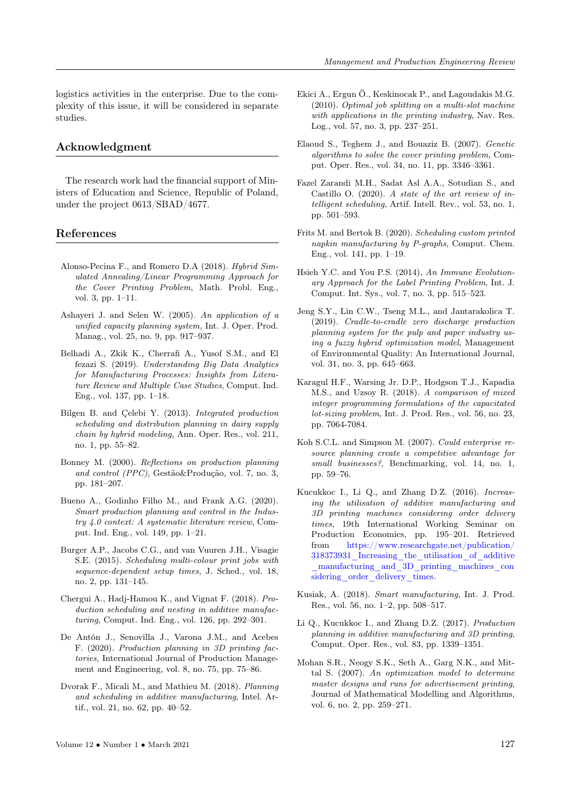logistics activities in the enterprise. Due to the complexity of this issue, it will be considered in separate studies.

#### Acknowledgment

The research work had the financial support of Ministers of Education and Science, Republic of Poland, under the project 0613/SBAD/4677.

#### <span id="page-8-0"></span>References

- Alonso-Pecina F., and Romero D.A (2018). Hybrid Simulated Annealing/Linear Programming Approach for the Cover Printing Problem, Math. Probl. Eng., vol. 3, pp. 1–11.
- Ashayeri J. and Selen W. (2005). An application of a unified capacity planning system, Int. J. Oper. Prod. Manag., vol. 25, no. 9, pp. 917–937.
- Belhadi A., Zkik K., Cherrafi A., Yusof S.M., and El fezazi S. (2019). Understanding Big Data Analytics for Manufacturing Processes: Insights from Literature Review and Multiple Case Studies, Comput. Ind. Eng., vol. 137, pp. 1–18.
- Bilgen B. and Çelebi Y. (2013). Integrated production scheduling and distribution planning in dairy supply chain by hybrid modeling, Ann. Oper. Res., vol. 211, no. 1, pp. 55–82.
- Bonney M. (2000). Reflections on production planning and control (PPC), Gestão&Produção, vol. 7, no. 3, pp. 181–207.
- Bueno A., Godinho Filho M., and Frank A.G. (2020). Smart production planning and control in the Industry 4.0 context: A systematic literature review, Comput. Ind. Eng., vol. 149, pp. 1–21.
- Burger A.P., Jacobs C.G., and van Vuuren J.H., Visagie S.E. (2015). Scheduling multi-colour print jobs with sequence-dependent setup times, J. Sched., vol. 18, no. 2, pp. 131–145.
- Chergui A., Hadj-Hamou K., and Vignat F. (2018). Production scheduling and nesting in additive manufacturing, Comput. Ind. Eng., vol. 126, pp. 292–301.
- De Antón J., Senovilla J., Varona J.M., and Acebes F. (2020). Production planning in 3D printing factories, International Journal of Production Management and Engineering, vol. 8, no. 75, pp. 75–86.
- Dvorak F., Micali M., and Mathieu M. (2018). Planning and scheduling in additive manufacturing, Intel. Artif., vol. 21, no. 62, pp. 40–52.
- Ekici A., Ergun Ö., Keskinocak P., and Lagoudakis M.G. (2010). Optimal job splitting on a multi-slot machine with applications in the printing industry, Nav. Res. Log., vol. 57, no. 3, pp. 237–251.
- Elaoud S., Teghem J., and Bouaziz B. (2007). Genetic algorithms to solve the cover printing problem, Comput. Oper. Res., vol. 34, no. 11, pp. 3346–3361.
- Fazel Zarandi M.H., Sadat Asl A.A., Sotudian S., and Castillo O. (2020). A state of the art review of intelligent scheduling, Artif. Intell. Rev., vol. 53, no. 1, pp. 501–593.
- Frits M. and Bertok B. (2020). Scheduling custom printed napkin manufacturing by P-graphs, Comput. Chem. Eng., vol. 141, pp. 1–19.
- Hsieh Y.C. and You P.S. (2014), An Immune Evolutionary Approach for the Label Printing Problem, Int. J. Comput. Int. Sys., vol. 7, no. 3, pp. 515–523.
- Jeng S.Y., Lin C.W., Tseng M.L., and Jantarakolica T. (2019). Cradle-to-cradle zero discharge production planning system for the pulp and paper industry using a fuzzy hybrid optimization model, Management of Environmental Quality: An International Journal, vol. 31, no. 3, pp. 645–663.
- Karagul H.F., Warsing Jr. D.P., Hodgson T.J., Kapadia M.S., and Uzsoy R. (2018). A comparison of mixed integer programming formulations of the capacitated lot-sizing problem, Int. J. Prod. Res., vol. 56, no. 23, pp. 7064-7084.
- Koh S.C.L. and Simpson M. (2007). Could enterprise resource planning create a competitive advantage for small businesses?, Benchmarking, vol. 14, no. 1, pp. 59–76.
- Kucukkoc I., Li Q., and Zhang D.Z. (2016). Increasing the utilisation of additive manufacturing and 3D printing machines considering order delivery times, 19th International Working Seminar on Production Economics, pp. 195–201. Retrieved from [https://www.researchgate.net/publication/](https://www.researchgate.net/publication/318373931_Increasing_the_utilisation_of_additive_manufacturing_and_3D_printing_machines_considering_order_delivery_times) [318373931\\_Increasing\\_the\\_utilisation\\_of\\_additive](https://www.researchgate.net/publication/318373931_Increasing_the_utilisation_of_additive_manufacturing_and_3D_printing_machines_considering_order_delivery_times) [\\_manufacturing\\_and\\_3D\\_printing\\_machines\\_con](https://www.researchgate.net/publication/318373931_Increasing_the_utilisation_of_additive_manufacturing_and_3D_printing_machines_considering_order_delivery_times) sidering order delivery times.
- Kusiak, A. (2018). Smart manufacturing, Int. J. Prod. Res., vol. 56, no. 1–2, pp. 508–517.
- Li Q., Kucukkoc I., and Zhang D.Z. (2017). Production planning in additive manufacturing and 3D printing, Comput. Oper. Res., vol. 83, pp. 1339–1351.
- Mohan S.R., Neogy S.K., Seth A., Garg N.K., and Mittal S. (2007). An optimization model to determine master designs and runs for advertisement printing, Journal of Mathematical Modelling and Algorithms, vol. 6, no. 2, pp. 259–271.